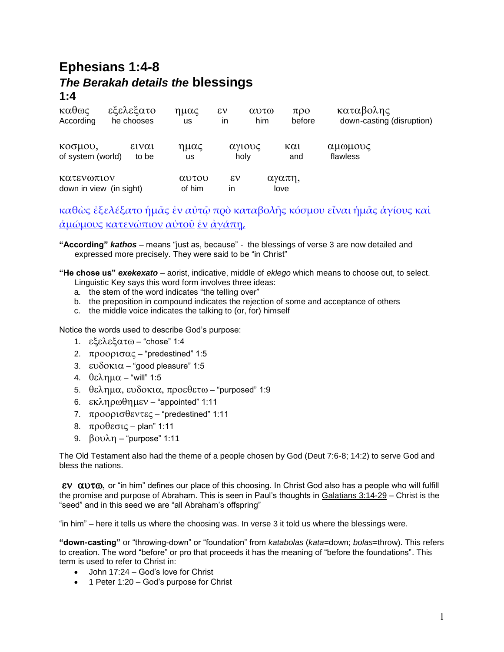## **Ephesians 1:4-8** *The Berakah details the* **blessings 1:4**

| καθως<br>According                    | εξελεξατο<br>he chooses | ημας<br><b>us</b> | $\epsilon v$<br>in | αυτω<br>him | $\pi$ <sup>o</sup><br>before | καταβολης<br>down-casting (disruption) |
|---------------------------------------|-------------------------|-------------------|--------------------|-------------|------------------------------|----------------------------------------|
| κοσμου,<br>of system (world)          | ειναι<br>to be          | ημας<br>us        | holy               | αγιους      | $\kappa \alpha$<br>and       | αμωμους<br>flawless                    |
| κατενωπιον<br>down in view (in sight) |                         | αυτου<br>of him   | $\epsilon v$<br>in |             | αγαπη,<br>love               |                                        |

[καθὼς](http://concordance.biblos.com/katho_s.htm) [ἐξελέξατο](http://concordance.biblos.com/exelexato.htm) [ἡμᾶς](http://concordance.biblos.com/e_mas.htm) [ἐν](http://concordance.biblos.com/en.htm) [αὐτῷ](http://concordance.biblos.com/auto_.htm) [πρὸ](http://concordance.biblos.com/pro.htm) [καταβολῆς](http://concordance.biblos.com/katabole_s.htm) [κόσμου](http://concordance.biblos.com/kosmou.htm) [εἶναι](http://concordance.biblos.com/einai.htm) [ἡμᾶς](http://concordance.biblos.com/e_mas.htm) [ἁγίους](http://concordance.biblos.com/agious.htm) [καὶ](http://concordance.biblos.com/kai.htm) [ἀμώμους](http://concordance.biblos.com/amo_mous.htm) [κατενώπιον](http://concordance.biblos.com/kateno_pion.htm) [αὐτοῦ](http://concordance.biblos.com/autou.htm) [ἐν](http://concordance.biblos.com/en.htm) [ἀγάπῃ](http://concordance.biblos.com/agape_.htm),

**"According"** *kathos* – means "just as, because" - the blessings of verse 3 are now detailed and expressed more precisely. They were said to be "in Christ"

**"He chose us"** *exekexato* – aorist, indicative, middle of *eklego* which means to choose out, to select. Linguistic Key says this word form involves three ideas:

- a. the stem of the word indicates "the telling over"
- b. the preposition in compound indicates the rejection of some and acceptance of others
- c. the middle voice indicates the talking to (or, for) himself

Notice the words used to describe God's purpose:

- 1.  $\epsilon \xi \epsilon \lambda \epsilon \xi \alpha \tau \omega$  "chose" 1:4
- 2.  $\pi$ poopt $\sigma\alpha\zeta$  "predestined" 1:5
- 3.  $\epsilon \nu \delta \text{ok} \alpha$  "good pleasure" 1:5
- 4.  $θελημα "will" 1:5$
- 5.  $\theta$ ελημα, ευδοκια, προεθετω "purposed" 1:9
- 6.  $\epsilon$ κληρωθημεν "appointed" 1:11
- 7.  $\pi$ poopt $\sigma$ θεντες "predestined" 1:11
- 8.  $προθεσις plan'' 1:11$
- 9.  $βovλη "purpose" 1:11$

The Old Testament also had the theme of a people chosen by God (Deut 7:6-8; 14:2) to serve God and bless the nations.

 $\alpha$   $\alpha$   $\alpha$ , or "in him" defines our place of this choosing. In Christ God also has a people who will fulfill the promise and purpose of Abraham. This is seen in Paul's thoughts in Galatians 3:14-29 – Christ is the "seed" and in this seed we are "all Abraham's offspring"

"in him" – here it tells us where the choosing was. In verse 3 it told us where the blessings were.

**"down-casting"** or "throwing-down" or "foundation" from *katabolas* (*kata*=down; *bolas*=throw). This refers to creation. The word "before" or pro that proceeds it has the meaning of "before the foundations". This term is used to refer to Christ in:

- John 17:24 God's love for Christ
- 1 Peter 1:20 God's purpose for Christ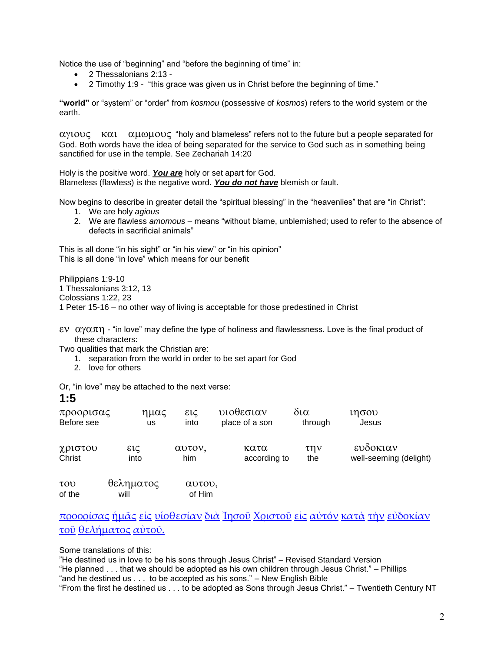Notice the use of "beginning" and "before the beginning of time" in:

- 2 Thessalonians 2:13 -
- 2 Timothy 1:9 "this grace was given us in Christ before the beginning of time."

**"world"** or "system" or "order" from *kosmou* (possessive of *kosmos*) refers to the world system or the earth.

 $\alpha$   $\gamma$ 100 $\zeta$  K $\alpha$ 1  $\alpha$  $\mu$  $\omega$  $\mu$  $\omega$  $\zeta$  "holy and blameless" refers not to the future but a people separated for God. Both words have the idea of being separated for the service to God such as in something being sanctified for use in the temple. See Zechariah 14:20

Holy is the positive word. *You are* holy or set apart for God. Blameless (flawless) is the negative word. *You do not have* blemish or fault.

Now begins to describe in greater detail the "spiritual blessing" in the "heavenlies" that are "in Christ":

- 1. We are holy *agious*
- 2. We are flawless *amomous* means "without blame, unblemished; used to refer to the absence of defects in sacrificial animals"

This is all done "in his sight" or "in his view" or "in his opinion" This is all done "in love" which means for our benefit

Philippians 1:9-10 1 Thessalonians 3:12, 13 Colossians 1:22, 23 1 Peter 15-16 – no other way of living is acceptable for those predestined in Christ

 $\epsilon$   $\alpha$   $\alpha$  $\pi$  $\eta$  - "in love" may define the type of holiness and flawlessness. Love is the final product of these characters:

Two qualities that mark the Christian are:

- 1. separation from the world in order to be set apart for God
- 2. love for others

Or, "in love" may be attached to the next verse:

#### **1:5**

| προορισας           | ημας      | εις    | υιοθεσιαν      | δι $\alpha$ | ιησου                  |
|---------------------|-----------|--------|----------------|-------------|------------------------|
| Before see          | us        | into   | place of a son | through     | Jesus                  |
| χριστου             | εις       | αυτον, | κατα           | $\tau$ nv   | ευδοκιαν               |
| Christ              | into      | him    | according to   | the         | well-seeming (delight) |
| $\tau$ <sub>0</sub> | θεληματος | αυτου, |                |             |                        |

of the will of Him

[προορίσας](http://concordance.biblos.com/proorisas.htm) [ἡμᾶς](http://concordance.biblos.com/e_mas.htm) [εἰς](http://concordance.biblos.com/eis.htm) [υἱοθεσίαν](http://concordance.biblos.com/uiothesian.htm) [διὰ](http://concordance.biblos.com/dia.htm) [Ἰησοῦ](http://concordance.biblos.com/ie_sou.htm) [Χριστοῦ](http://concordance.biblos.com/christou.htm) [εἰς](http://concordance.biblos.com/eis.htm) [αὐτόν](http://concordance.biblos.com/auton.htm) [κατὰ](http://concordance.biblos.com/kata.htm) [τὴν](http://concordance.biblos.com/te_n.htm) [εὐδοκίαν](http://concordance.biblos.com/eudokian.htm) [τοῦ](http://concordance.biblos.com/tou.htm) [θελήματος](http://concordance.biblos.com/thele_matos.htm) [αὐτοῦ.](http://concordance.biblos.com/autou.htm)

Some translations of this:

"He destined us in love to be his sons through Jesus Christ" – Revised Standard Version

"He planned . . . that we should be adopted as his own children through Jesus Christ." – Phillips

"and he destined us . . . to be accepted as his sons." – New English Bible

"From the first he destined us . . . to be adopted as Sons through Jesus Christ." – Twentieth Century NT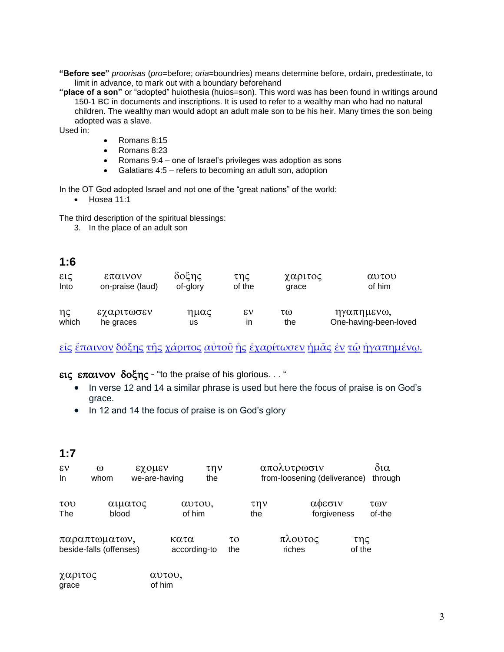**"Before see"** *proorisas* (*pro*=before; *oria*=boundries) means determine before, ordain, predestinate, to limit in advance, to mark out with a boundary beforehand

**"place of a son"** or "adopted" huiothesia (huios=son). This word was has been found in writings around 150-1 BC in documents and inscriptions. It is used to refer to a wealthy man who had no natural children. The wealthy man would adopt an adult male son to be his heir. Many times the son being adopted was a slave.

Used in:

- Romans 8:15
- Romans 8:23
- Romans 9:4 one of Israel's privileges was adoption as sons
- Galatians 4:5 refers to becoming an adult son, adoption

In the OT God adopted Israel and not one of the "great nations" of the world:

• Hosea 11:1

The third description of the spiritual blessings:

3. In the place of an adult son

#### **1:6**

| εις   | επαινον          | δοξης    | της    | χαριτος | αυτου                 |
|-------|------------------|----------|--------|---------|-----------------------|
| Into  | on-praise (laud) | of-glory | of the | grace   | of him                |
| ης    | εχαριτωσεν       | ημας     | εν     | τω      | ηγαπημενω,            |
| which | he graces        | us       | ın     | the     | One-having-been-loved |

[εἰς](http://concordance.biblos.com/eis.htm) [ἔπαινον](http://concordance.biblos.com/epainon.htm) [δόξης](http://concordance.biblos.com/doxe_s.htm) [τῆς](http://concordance.biblos.com/te_s.htm) [χάριτος](http://concordance.biblos.com/charitos.htm) [αὐτοῦ](http://concordance.biblos.com/autou.htm) [ἧς](http://concordance.biblos.com/e_s.htm) [ἐχαρίτωσεν](http://concordance.biblos.com/echarito_sen.htm) [ἡμᾶς](http://concordance.biblos.com/e_mas.htm) [ἐν](http://concordance.biblos.com/en.htm) [τῷ](http://concordance.biblos.com/to_.htm) [ἠγαπημένῳ](http://concordance.biblos.com/e_gape_meno_.htm).

#### εις επαινον δοξης - "to the praise of his glorious. . . "

- In verse 12 and 14 a similar phrase is used but here the focus of praise is on God's grace.
- In 12 and 14 the focus of praise is on God's glory

### **1:7**

| $\epsilon v$<br>In         | $\omega$<br>whom                         |         | εχομεν<br>we-are-having | την<br>the |                 |            | απολυτρωσιν       | from-loosening (deliverance) |               | δια<br>through |
|----------------------------|------------------------------------------|---------|-------------------------|------------|-----------------|------------|-------------------|------------------------------|---------------|----------------|
| $\tau$ <sub>O</sub><br>The | blood                                    | αιματος | of him                  | αυτου,     |                 | την<br>the |                   | αφεσιν<br>forgiveness        |               | των<br>of-the  |
|                            | παραπτωματων,<br>beside-falls (offenses) |         | κατα<br>according-to    |            | $\tau$ O<br>the |            | πλουτος<br>riches |                              | της<br>of the |                |
| χαριτος                    |                                          |         | αυτου,                  |            |                 |            |                   |                              |               |                |

grace of him